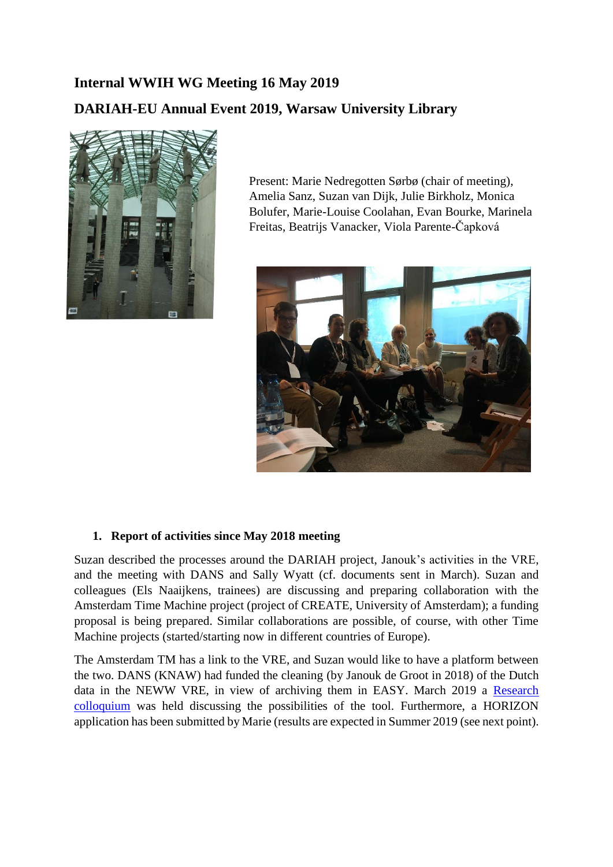# **Internal WWIH WG Meeting 16 May 2019**

# **DARIAH-EU Annual Event 2019, Warsaw University Library**



Present: Marie Nedregotten Sørbø (chair of meeting), Amelia Sanz, Suzan van Dijk, Julie Birkholz, Monica Bolufer, Marie-Louise Coolahan, Evan Bourke, Marinela Freitas, Beatrijs Vanacker, Viola Parente-Čapková



### **1. Report of activities since May 2018 meeting**

Suzan described the processes around the DARIAH project, Janouk's activities in the VRE, and the meeting with DANS and Sally Wyatt (cf. documents sent in March). Suzan and colleagues (Els Naaijkens, trainees) are discussing and preparing collaboration with the Amsterdam Time Machine project (project of CREATE, University of Amsterdam); a funding proposal is being prepared. Similar collaborations are possible, of course, with other Time Machine projects (started/starting now in different countries of Europe).

The Amsterdam TM has a link to the VRE, and Suzan would like to have a platform between the two. DANS (KNAW) had funded the cleaning (by Janouk de Groot in 2018) of the Dutch data in the NEWW VRE, in view of archiving them in EASY. March 2019 a [Research](https://dans.knaw.nl/nl/actueel/agenda/dans-colloquium-on-research-and-data-women-readers-finding-their-literary-foremothers)  [colloquium](https://dans.knaw.nl/nl/actueel/agenda/dans-colloquium-on-research-and-data-women-readers-finding-their-literary-foremothers) was held discussing the possibilities of the tool. Furthermore, a HORIZON application has been submitted by Marie (results are expected in Summer 2019 (see next point).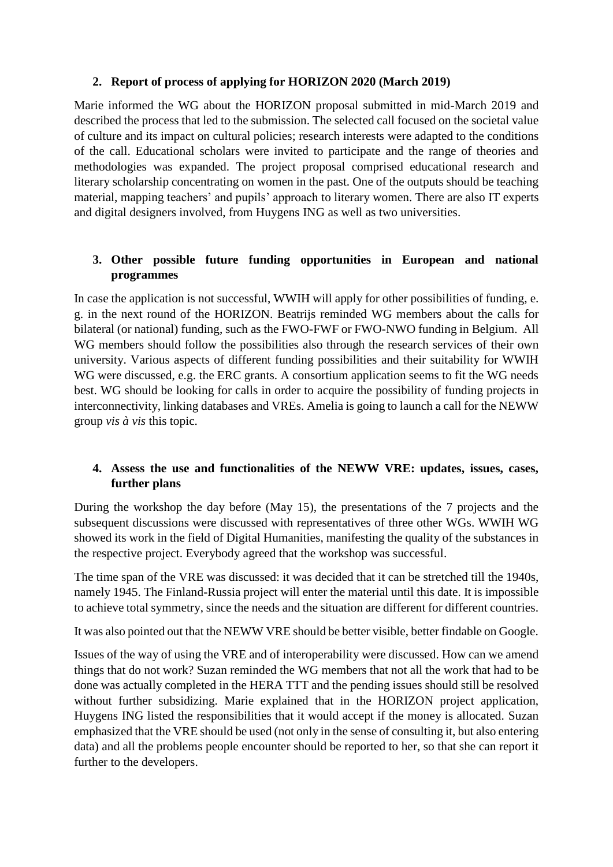# **2. Report of process of applying for HORIZON 2020 (March 2019)**

Marie informed the WG about the HORIZON proposal submitted in mid-March 2019 and described the process that led to the submission. The selected call focused on the societal value of culture and its impact on cultural policies; research interests were adapted to the conditions of the call. Educational scholars were invited to participate and the range of theories and methodologies was expanded. The project proposal comprised educational research and literary scholarship concentrating on women in the past. One of the outputs should be teaching material, mapping teachers' and pupils' approach to literary women. There are also IT experts and digital designers involved, from Huygens ING as well as two universities.

# **3. Other possible future funding opportunities in European and national programmes**

In case the application is not successful, WWIH will apply for other possibilities of funding, e. g. in the next round of the HORIZON. Beatrijs reminded WG members about the calls for bilateral (or national) funding, such as the FWO-FWF or FWO-NWO funding in Belgium. All WG members should follow the possibilities also through the research services of their own university. Various aspects of different funding possibilities and their suitability for WWIH WG were discussed, e.g. the ERC grants. A consortium application seems to fit the WG needs best. WG should be looking for calls in order to acquire the possibility of funding projects in interconnectivity, linking databases and VREs. Amelia is going to launch a call for the NEWW group *vis à vis* this topic.

# **4. Assess the use and functionalities of the NEWW VRE: updates, issues, cases, further plans**

During the workshop the day before (May 15), the presentations of the 7 projects and the subsequent discussions were discussed with representatives of three other WGs. WWIH WG showed its work in the field of Digital Humanities, manifesting the quality of the substances in the respective project. Everybody agreed that the workshop was successful.

The time span of the VRE was discussed: it was decided that it can be stretched till the 1940s, namely 1945. The Finland-Russia project will enter the material until this date. It is impossible to achieve total symmetry, since the needs and the situation are different for different countries.

It was also pointed out that the NEWW VRE should be better visible, better findable on Google.

Issues of the way of using the VRE and of interoperability were discussed. How can we amend things that do not work? Suzan reminded the WG members that not all the work that had to be done was actually completed in the HERA TTT and the pending issues should still be resolved without further subsidizing. Marie explained that in the HORIZON project application, Huygens ING listed the responsibilities that it would accept if the money is allocated. Suzan emphasized that the VRE should be used (not only in the sense of consulting it, but also entering data) and all the problems people encounter should be reported to her, so that she can report it further to the developers.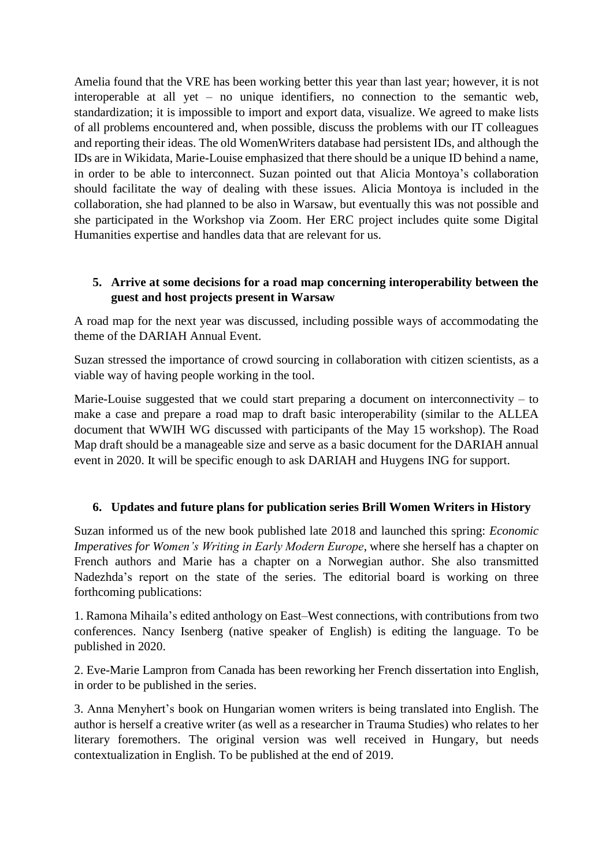Amelia found that the VRE has been working better this year than last year; however, it is not interoperable at all yet – no unique identifiers, no connection to the semantic web, standardization; it is impossible to import and export data, visualize. We agreed to make lists of all problems encountered and, when possible, discuss the problems with our IT colleagues and reporting their ideas. The old WomenWriters database had persistent IDs, and although the IDs are in Wikidata, Marie-Louise emphasized that there should be a unique ID behind a name, in order to be able to interconnect. Suzan pointed out that Alicia Montoya's collaboration should facilitate the way of dealing with these issues. Alicia Montoya is included in the collaboration, she had planned to be also in Warsaw, but eventually this was not possible and she participated in the Workshop via Zoom. Her ERC project includes quite some Digital Humanities expertise and handles data that are relevant for us.

## **5. Arrive at some decisions for a road map concerning interoperability between the guest and host projects present in Warsaw**

A road map for the next year was discussed, including possible ways of accommodating the theme of the DARIAH Annual Event.

Suzan stressed the importance of crowd sourcing in collaboration with citizen scientists, as a viable way of having people working in the tool.

Marie-Louise suggested that we could start preparing a document on interconnectivity – to make a case and prepare a road map to draft basic interoperability (similar to the ALLEA document that WWIH WG discussed with participants of the May 15 workshop). The Road Map draft should be a manageable size and serve as a basic document for the DARIAH annual event in 2020. It will be specific enough to ask DARIAH and Huygens ING for support.

### **6. Updates and future plans for publication series Brill Women Writers in History**

Suzan informed us of the new book published late 2018 and launched this spring: *Economic Imperatives for Women's Writing in Early Modern Europe*, where she herself has a chapter on French authors and Marie has a chapter on a Norwegian author. She also transmitted Nadezhda's report on the state of the series. The editorial board is working on three forthcoming publications:

1. Ramona Mihaila's edited anthology on East–West connections, with contributions from two conferences. Nancy Isenberg (native speaker of English) is editing the language. To be published in 2020.

2. Eve-Marie Lampron from Canada has been reworking her French dissertation into English, in order to be published in the series.

3. Anna Menyhert's book on Hungarian women writers is being translated into English. The author is herself a creative writer (as well as a researcher in Trauma Studies) who relates to her literary foremothers. The original version was well received in Hungary, but needs contextualization in English. To be published at the end of 2019.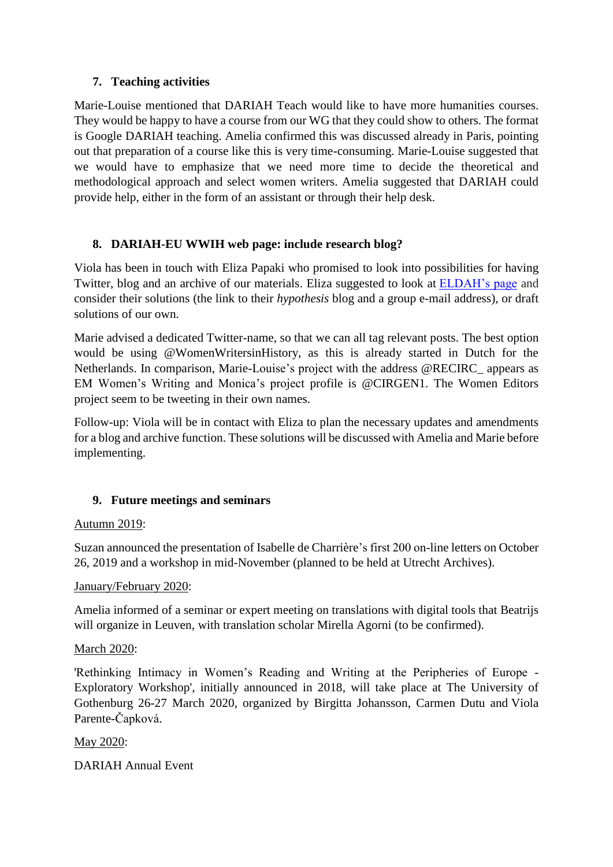# **7. Teaching activities**

Marie-Louise mentioned that DARIAH Teach would like to have more humanities courses. They would be happy to have a course from our WG that they could show to others. The format is Google DARIAH teaching. Amelia confirmed this was discussed already in Paris, pointing out that preparation of a course like this is very time-consuming. Marie-Louise suggested that we would have to emphasize that we need more time to decide the theoretical and methodological approach and select women writers. Amelia suggested that DARIAH could provide help, either in the form of an assistant or through their help desk.

# **8. DARIAH-EU WWIH web page: include research blog?**

Viola has been in touch with Eliza Papaki who promised to look into possibilities for having Twitter, blog and an archive of our materials. Eliza suggested to look at [ELDAH's page](https://www.dariah.eu/activities/working-groups/ethics-and-legality-in-the-digital-arts-and-humanities-eldah/) and consider their solutions (the link to their *hypothesis* blog and a group e-mail address), or draft solutions of our own.

Marie advised a dedicated Twitter-name, so that we can all tag relevant posts. The best option would be using @WomenWritersinHistory, as this is already started in Dutch for the Netherlands. In comparison, Marie-Louise's project with the address @RECIRC\_ appears as EM Women's Writing and Monica's project profile is @CIRGEN1. The Women Editors project seem to be tweeting in their own names.

Follow-up: Viola will be in contact with Eliza to plan the necessary updates and amendments for a blog and archive function. These solutions will be discussed with Amelia and Marie before implementing.

# **9. Future meetings and seminars**

### Autumn 2019:

Suzan announced the presentation of Isabelle de Charrière's first 200 on-line letters on October 26, 2019 and a workshop in mid-November (planned to be held at Utrecht Archives).

### January/February 2020:

Amelia informed of a seminar or expert meeting on translations with digital tools that Beatrijs will organize in Leuven, with translation scholar Mirella Agorni (to be confirmed).

### March 2020:

'Rethinking Intimacy in Women's Reading and Writing at the Peripheries of Europe - Exploratory Workshop', initially announced in 2018, will take place at The University of Gothenburg 26-27 March 2020, organized by Birgitta Johansson, Carmen Dutu and Viola Parente-Čapková.

### May 2020:

DARIAH Annual Event